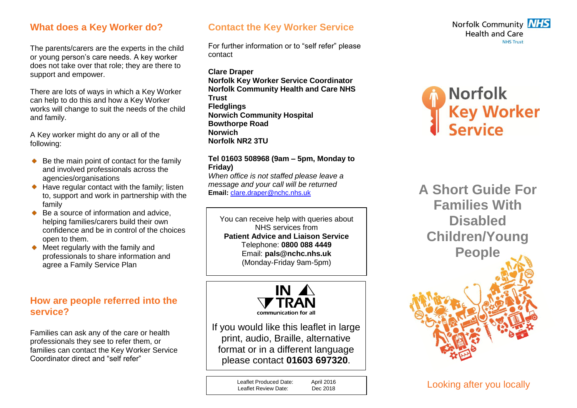### **What does a Key Worker do?**

The parents/carers are the experts in the child or young person's care needs. A key worker does not take over that role; they are there to support and empower.

There are lots of ways in which a Key Worker can help to do this and how a Key Worker works will change to suit the needs of the child and family.

A Key worker might do any or all of the following:

- $\bullet$  Be the main point of contact for the family and involved professionals across the agencies/organisations
- $\triangle$  Have regular contact with the family; listen to, support and work in partnership with the family
- $\bullet$  Be a source of information and advice. helping families/carers build their own confidence and be in control of the choices open to them.
- $\bullet$  Meet regularly with the family and professionals to share information and agree a Family Service Plan

## **How are people referred into the service?**

Families can ask any of the care or health professionals they see to refer them, or families can contact the Key Worker Service Coordinator direct and "self refer"

# **Contact the Key Worker Service**

For further information or to "self refer" please contact

**Clare Draper Norfolk Key Worker Service Coordinator Norfolk Community Health and Care NHS Trust Fledglings Norwich Community Hospital Bowthorpe Road Norwich Norfolk NR2 3TU**

#### **Tel 01603 508968 (9am – 5pm, Monday to Friday)**

*When office is not staffed please leave a message and your call will be returned* **Email:** [clare.draper@nchc.nhs.uk](mailto:clare.draper@nchc.nhs.uk)

You can receive help with queries about NHS services from **Patient Advice and Liaison Service** Telephone: **0800 088 4449** Email: **pals@nchc.nhs.uk** (Monday-Friday 9am-5pm)



If you would like this leaflet in large print, audio, Braille, alternative format or in a different language please contact **01603 697320**.

> Leaflet Produced Date: April 2016<br>
> Leaflet Review Date: Dec 2018 Leaflet Review Date:





**A Short Guide For Families With Disabled Children/Young People**



Looking after you locally